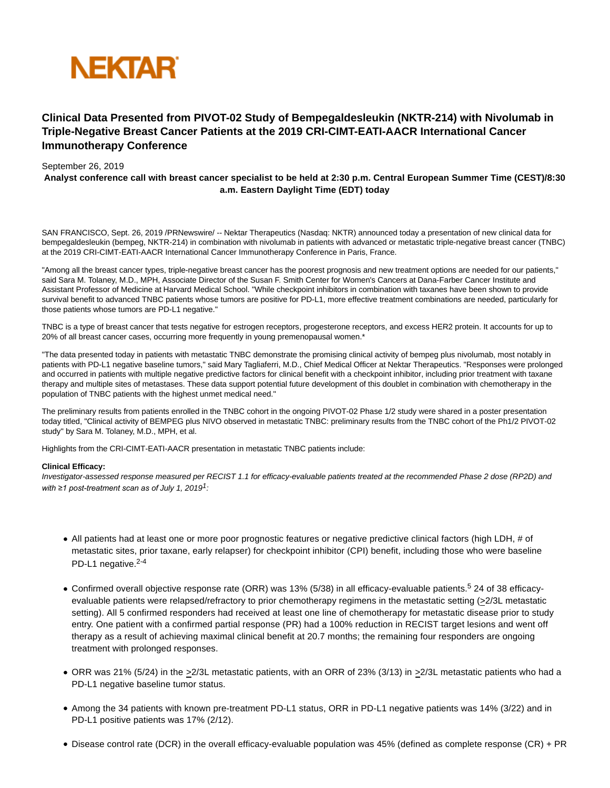

# **Clinical Data Presented from PIVOT-02 Study of Bempegaldesleukin (NKTR-214) with Nivolumab in Triple-Negative Breast Cancer Patients at the 2019 CRI-CIMT-EATI-AACR International Cancer Immunotherapy Conference**

# September 26, 2019

**Analyst conference call with breast cancer specialist to be held at 2:30 p.m. Central European Summer Time (CEST)/8:30 a.m. Eastern Daylight Time (EDT) today**

SAN FRANCISCO, Sept. 26, 2019 /PRNewswire/ -- Nektar Therapeutics (Nasdaq: NKTR) announced today a presentation of new clinical data for bempegaldesleukin (bempeg, NKTR-214) in combination with nivolumab in patients with advanced or metastatic triple-negative breast cancer (TNBC) at the 2019 CRI-CIMT-EATI-AACR International Cancer Immunotherapy Conference in Paris, France.

"Among all the breast cancer types, triple-negative breast cancer has the poorest prognosis and new treatment options are needed for our patients," said Sara M. Tolaney, M.D., MPH, Associate Director of the Susan F. Smith Center for Women's Cancers at Dana-Farber Cancer Institute and Assistant Professor of Medicine at Harvard Medical School. "While checkpoint inhibitors in combination with taxanes have been shown to provide survival benefit to advanced TNBC patients whose tumors are positive for PD-L1, more effective treatment combinations are needed, particularly for those patients whose tumors are PD-L1 negative."

TNBC is a type of breast cancer that tests negative for estrogen receptors, progesterone receptors, and excess HER2 protein. It accounts for up to 20% of all breast cancer cases, occurring more frequently in young premenopausal women.\*

"The data presented today in patients with metastatic TNBC demonstrate the promising clinical activity of bempeg plus nivolumab, most notably in patients with PD-L1 negative baseline tumors," said Mary Tagliaferri, M.D., Chief Medical Officer at Nektar Therapeutics. "Responses were prolonged and occurred in patients with multiple negative predictive factors for clinical benefit with a checkpoint inhibitor, including prior treatment with taxane therapy and multiple sites of metastases. These data support potential future development of this doublet in combination with chemotherapy in the population of TNBC patients with the highest unmet medical need."

The preliminary results from patients enrolled in the TNBC cohort in the ongoing PIVOT-02 Phase 1/2 study were shared in a poster presentation today titled, "Clinical activity of BEMPEG plus NIVO observed in metastatic TNBC: preliminary results from the TNBC cohort of the Ph1/2 PIVOT-02 study" by Sara M. Tolaney, M.D., MPH, et al.

Highlights from the CRI-CIMT-EATI-AACR presentation in metastatic TNBC patients include:

# **Clinical Efficacy:**

Investigator-assessed response measured per RECIST 1.1 for efficacy-evaluable patients treated at the recommended Phase 2 dose (RP2D) and *with* ≥1 post-treatment scan as of July 1, 2019<sup>1</sup>:

- All patients had at least one or more poor prognostic features or negative predictive clinical factors (high LDH, # of metastatic sites, prior taxane, early relapser) for checkpoint inhibitor (CPI) benefit, including those who were baseline PD-L1 negative.<sup>2-4</sup>
- Confirmed overall objective response rate (ORR) was 13% (5/38) in all efficacy-evaluable patients.<sup>5</sup> 24 of 38 efficacyevaluable patients were relapsed/refractory to prior chemotherapy regimens in the metastatic setting (>2/3L metastatic setting). All 5 confirmed responders had received at least one line of chemotherapy for metastatic disease prior to study entry. One patient with a confirmed partial response (PR) had a 100% reduction in RECIST target lesions and went off therapy as a result of achieving maximal clinical benefit at 20.7 months; the remaining four responders are ongoing treatment with prolonged responses.
- ORR was 21% (5/24) in the >2/3L metastatic patients, with an ORR of 23% (3/13) in >2/3L metastatic patients who had a PD-L1 negative baseline tumor status.
- Among the 34 patients with known pre-treatment PD-L1 status, ORR in PD-L1 negative patients was 14% (3/22) and in PD-L1 positive patients was 17% (2/12).
- Disease control rate (DCR) in the overall efficacy-evaluable population was 45% (defined as complete response (CR) + PR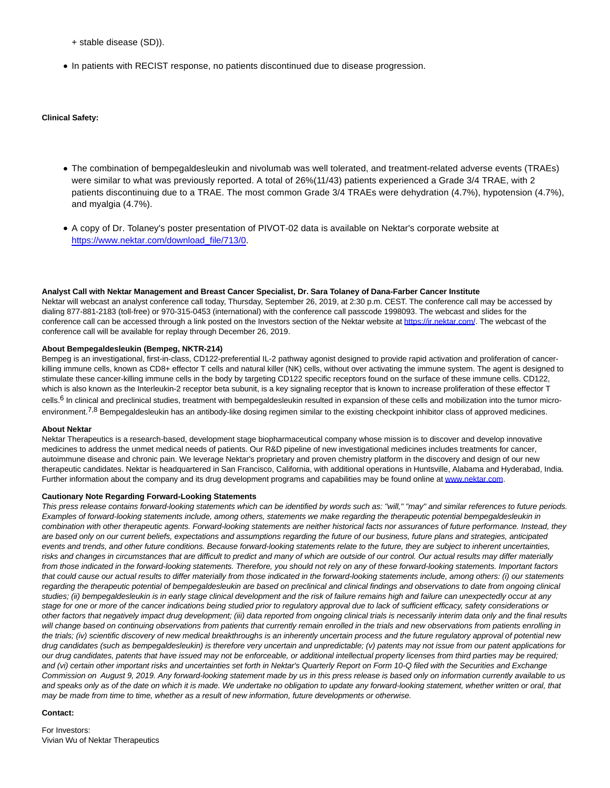+ stable disease (SD)).

In patients with RECIST response, no patients discontinued due to disease progression.

# **Clinical Safety:**

- The combination of bempegaldesleukin and nivolumab was well tolerated, and treatment-related adverse events (TRAEs) were similar to what was previously reported. A total of 26%(11/43) patients experienced a Grade 3/4 TRAE, with 2 patients discontinuing due to a TRAE. The most common Grade 3/4 TRAEs were dehydration (4.7%), hypotension (4.7%), and myalgia (4.7%).
- A copy of Dr. Tolaney's poster presentation of PIVOT-02 data is available on Nektar's corporate website at [https://www.nektar.com/download\\_file/713/0.](https://c212.net/c/link/?t=0&l=en&o=2592026-1&h=3493746135&u=https%3A%2F%2Fwww.nektar.com%2Fdownload_file%2F713%2F0&a=https%3A%2F%2Fwww.nektar.com%2Fdownload_file%2F713%2F0)

#### **Analyst Call with Nektar Management and Breast Cancer Specialist, Dr. Sara Tolaney of Dana-Farber Cancer Institute**

Nektar will webcast an analyst conference call today, Thursday, September 26, 2019, at 2:30 p.m. CEST. The conference call may be accessed by dialing 877-881-2183 (toll-free) or 970-315-0453 (international) with the conference call passcode 1998093. The webcast and slides for the conference call can be accessed through a link posted on the Investors section of the Nektar website at [https://ir.nektar.com/.](https://c212.net/c/link/?t=0&l=en&o=2592026-1&h=1017436010&u=https%3A%2F%2Fir.nektar.com%2F&a=https%3A%2F%2Fir.nektar.com%2F) The webcast of the conference call will be available for replay through December 26, 2019.

## **About Bempegaldesleukin (Bempeg, NKTR-214)**

Bempeg is an investigational, first-in-class, CD122-preferential IL-2 pathway agonist designed to provide rapid activation and proliferation of cancerkilling immune cells, known as CD8+ effector T cells and natural killer (NK) cells, without over activating the immune system. The agent is designed to stimulate these cancer-killing immune cells in the body by targeting CD122 specific receptors found on the surface of these immune cells. CD122, which is also known as the Interleukin-2 receptor beta subunit, is a key signaling receptor that is known to increase proliferation of these effector T cells.<sup>6</sup> In clinical and preclinical studies, treatment with bempegaldesleukin resulted in expansion of these cells and mobilization into the tumor microenvironment.<sup>7,8</sup> Bempegaldesleukin has an antibody-like dosing regimen similar to the existing checkpoint inhibitor class of approved medicines.

## **About Nektar**

Nektar Therapeutics is a research-based, development stage biopharmaceutical company whose mission is to discover and develop innovative medicines to address the unmet medical needs of patients. Our R&D pipeline of new investigational medicines includes treatments for cancer, autoimmune disease and chronic pain. We leverage Nektar's proprietary and proven chemistry platform in the discovery and design of our new therapeutic candidates. Nektar is headquartered in San Francisco, California, with additional operations in Huntsville, Alabama and Hyderabad, India. Further information about the company and its drug development programs and capabilities may be found online at [www.nektar.com.](https://c212.net/c/link/?t=0&l=en&o=2592026-1&h=3277886837&u=http%3A%2F%2Fwww.nektar.com%2F&a=www.nektar.com)

## **Cautionary Note Regarding Forward-Looking Statements**

This press release contains forward-looking statements which can be identified by words such as: "will," "may" and similar references to future periods. Examples of forward-looking statements include, among others, statements we make regarding the therapeutic potential bempegaldesleukin in combination with other therapeutic agents. Forward-looking statements are neither historical facts nor assurances of future performance. Instead, they are based only on our current beliefs, expectations and assumptions regarding the future of our business, future plans and strategies, anticipated events and trends, and other future conditions. Because forward-looking statements relate to the future, they are subject to inherent uncertainties, risks and changes in circumstances that are difficult to predict and many of which are outside of our control. Our actual results may differ materially from those indicated in the forward-looking statements. Therefore, you should not rely on any of these forward-looking statements. Important factors that could cause our actual results to differ materially from those indicated in the forward-looking statements include, among others: (i) our statements regarding the therapeutic potential of bempegaldesleukin are based on preclinical and clinical findings and observations to date from ongoing clinical studies; (ii) bempegaldesleukin is in early stage clinical development and the risk of failure remains high and failure can unexpectedly occur at any stage for one or more of the cancer indications being studied prior to regulatory approval due to lack of sufficient efficacy, safety considerations or other factors that negatively impact drug development; (iii) data reported from ongoing clinical trials is necessarily interim data only and the final results will change based on continuing observations from patients that currently remain enrolled in the trials and new observations from patients enrolling in the trials; (iv) scientific discovery of new medical breakthroughs is an inherently uncertain process and the future regulatory approval of potential new drug candidates (such as bempegaldesleukin) is therefore very uncertain and unpredictable; (v) patents may not issue from our patent applications for our drug candidates, patents that have issued may not be enforceable, or additional intellectual property licenses from third parties may be required; and (vi) certain other important risks and uncertainties set forth in Nektar's Quarterly Report on Form 10-Q filed with the Securities and Exchange Commission on August 9, 2019. Any forward-looking statement made by us in this press release is based only on information currently available to us and speaks only as of the date on which it is made. We undertake no obligation to update any forward-looking statement, whether written or oral, that may be made from time to time, whether as a result of new information, future developments or otherwise.

## **Contact:**

For Investors: Vivian Wu of Nektar Therapeutics